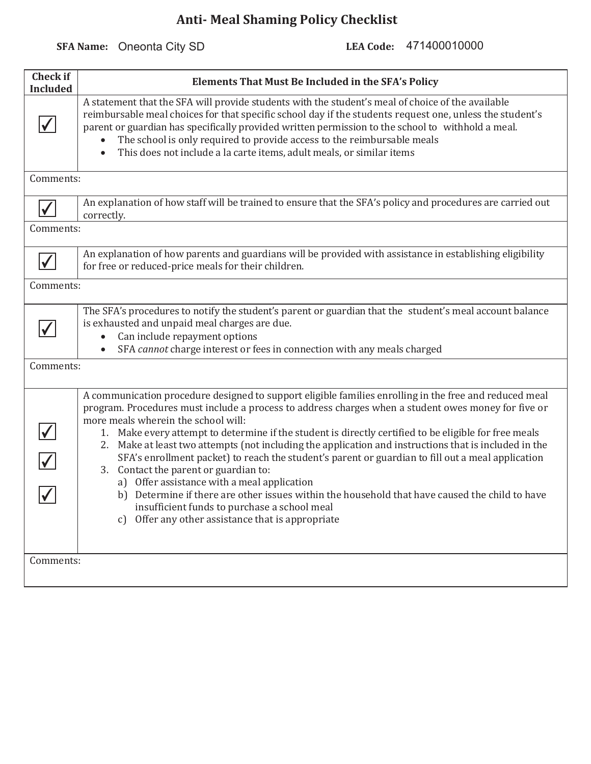**SFA Name:** Oneonta City SD

LEA Code: 471400010000

| <b>Check if</b><br><b>Included</b> | <b>Elements That Must Be Included in the SFA's Policy</b>                                                                                                                                                                                                                                                                                                                                                                                                                                                                                                                                                                                                                                                                                                                                                                                                                                |  |
|------------------------------------|------------------------------------------------------------------------------------------------------------------------------------------------------------------------------------------------------------------------------------------------------------------------------------------------------------------------------------------------------------------------------------------------------------------------------------------------------------------------------------------------------------------------------------------------------------------------------------------------------------------------------------------------------------------------------------------------------------------------------------------------------------------------------------------------------------------------------------------------------------------------------------------|--|
|                                    | A statement that the SFA will provide students with the student's meal of choice of the available<br>reimbursable meal choices for that specific school day if the students request one, unless the student's<br>parent or guardian has specifically provided written permission to the school to withhold a meal.<br>The school is only required to provide access to the reimbursable meals<br>This does not include a la carte items, adult meals, or similar items                                                                                                                                                                                                                                                                                                                                                                                                                   |  |
| Comments:                          |                                                                                                                                                                                                                                                                                                                                                                                                                                                                                                                                                                                                                                                                                                                                                                                                                                                                                          |  |
|                                    | An explanation of how staff will be trained to ensure that the SFA's policy and procedures are carried out<br>correctly.                                                                                                                                                                                                                                                                                                                                                                                                                                                                                                                                                                                                                                                                                                                                                                 |  |
| Comments:                          |                                                                                                                                                                                                                                                                                                                                                                                                                                                                                                                                                                                                                                                                                                                                                                                                                                                                                          |  |
|                                    | An explanation of how parents and guardians will be provided with assistance in establishing eligibility<br>for free or reduced-price meals for their children.                                                                                                                                                                                                                                                                                                                                                                                                                                                                                                                                                                                                                                                                                                                          |  |
| Comments:                          |                                                                                                                                                                                                                                                                                                                                                                                                                                                                                                                                                                                                                                                                                                                                                                                                                                                                                          |  |
|                                    | The SFA's procedures to notify the student's parent or guardian that the student's meal account balance<br>is exhausted and unpaid meal charges are due.<br>Can include repayment options<br>SFA cannot charge interest or fees in connection with any meals charged                                                                                                                                                                                                                                                                                                                                                                                                                                                                                                                                                                                                                     |  |
| Comments:                          |                                                                                                                                                                                                                                                                                                                                                                                                                                                                                                                                                                                                                                                                                                                                                                                                                                                                                          |  |
|                                    | A communication procedure designed to support eligible families enrolling in the free and reduced meal<br>program. Procedures must include a process to address charges when a student owes money for five or<br>more meals wherein the school will:<br>1. Make every attempt to determine if the student is directly certified to be eligible for free meals<br>2. Make at least two attempts (not including the application and instructions that is included in the<br>SFA's enrollment packet) to reach the student's parent or guardian to fill out a meal application<br>3. Contact the parent or guardian to:<br>a) Offer assistance with a meal application<br>b) Determine if there are other issues within the household that have caused the child to have<br>insufficient funds to purchase a school meal<br>Offer any other assistance that is appropriate<br>$\mathcal{C}$ |  |
| Comments:                          |                                                                                                                                                                                                                                                                                                                                                                                                                                                                                                                                                                                                                                                                                                                                                                                                                                                                                          |  |